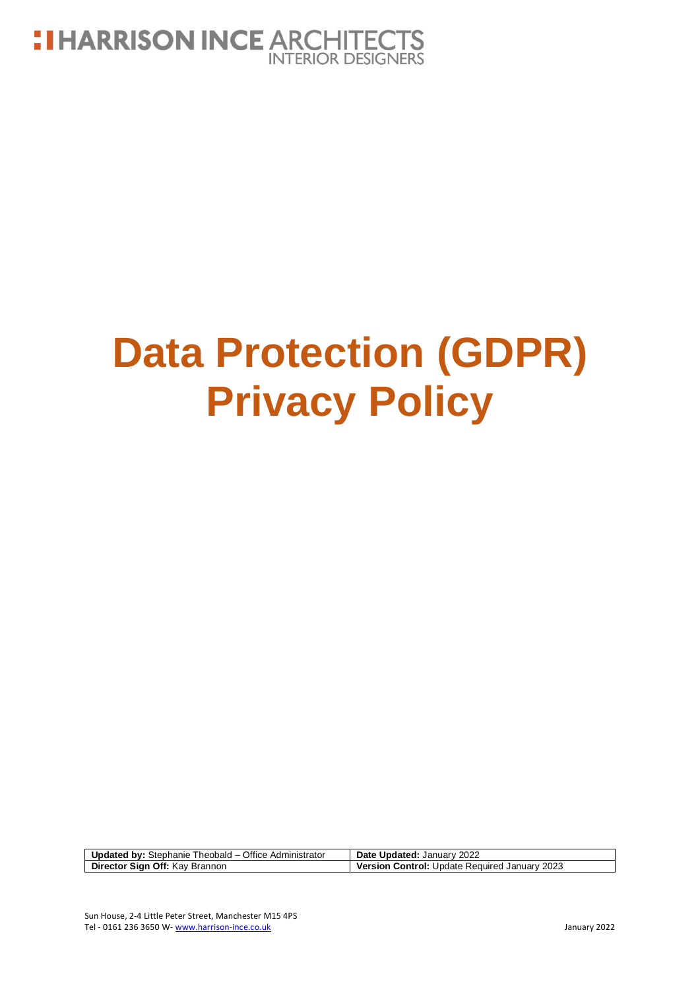

# **Data Protection (GDPR) Privacy Policy**

| <b>Updated by:</b> Stephanie Theobald – Office Administrator | Date Updated: January 2022                           |
|--------------------------------------------------------------|------------------------------------------------------|
| Director Sign Off: Kay Brannon                               | <b>Version Control: Update Required January 2023</b> |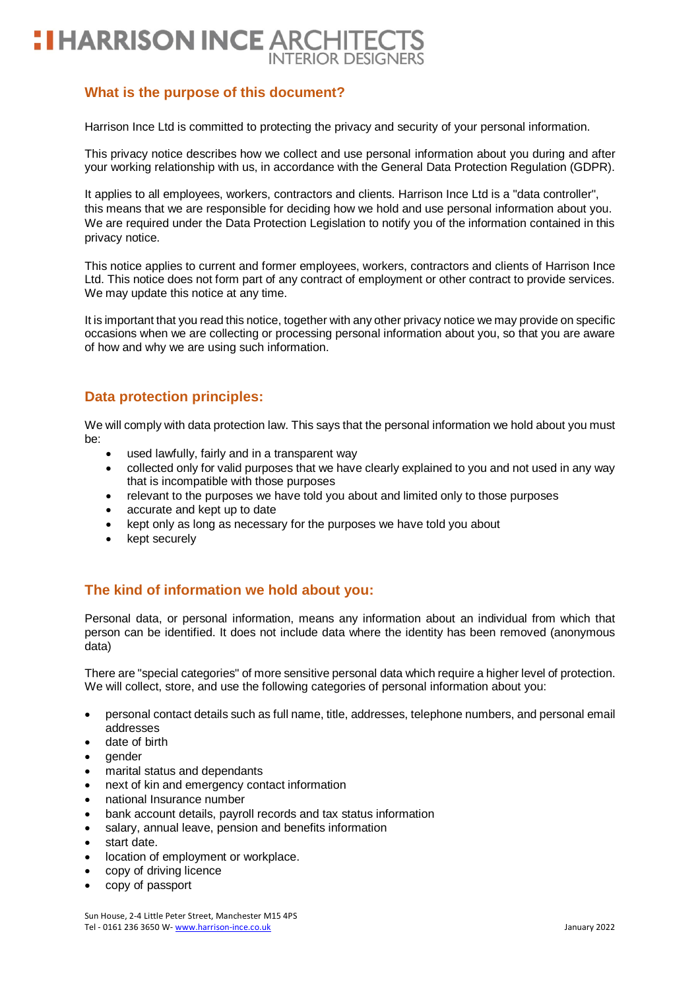# **: I HARRISON INCE ARCHITEC INTERIOR DESIGNERS**

## **What is the purpose of this document?**

Harrison Ince Ltd is committed to protecting the privacy and security of your personal information.

This privacy notice describes how we collect and use personal information about you during and after your working relationship with us, in accordance with the General Data Protection Regulation (GDPR).

It applies to all employees, workers, contractors and clients. Harrison Ince Ltd is a "data controller", this means that we are responsible for deciding how we hold and use personal information about you. We are required under the Data Protection Legislation to notify you of the information contained in this privacy notice.

This notice applies to current and former employees, workers, contractors and clients of Harrison Ince Ltd. This notice does not form part of any contract of employment or other contract to provide services. We may update this notice at any time.

It is important that you read this notice, together with any other privacy notice we may provide on specific occasions when we are collecting or processing personal information about you, so that you are aware of how and why we are using such information.

## **Data protection principles:**

We will comply with data protection law. This says that the personal information we hold about you must be:

- used lawfully, fairly and in a transparent way
- collected only for valid purposes that we have clearly explained to you and not used in any way that is incompatible with those purposes
- relevant to the purposes we have told you about and limited only to those purposes
- accurate and kept up to date
- kept only as long as necessary for the purposes we have told you about
- kept securely

## **The kind of information we hold about you:**

Personal data, or personal information, means any information about an individual from which that person can be identified. It does not include data where the identity has been removed (anonymous data)

There are "special categories" of more sensitive personal data which require a higher level of protection. We will collect, store, and use the following categories of personal information about you:

- personal contact details such as full name, title, addresses, telephone numbers, and personal email addresses
- date of birth
- gender
- marital status and dependants
- next of kin and emergency contact information
- national Insurance number
- bank account details, payroll records and tax status information
- salary, annual leave, pension and benefits information
- start date.
- location of employment or workplace.
- copy of driving licence
- copy of passport

Sun House, 2-4 Little Peter Street, Manchester M15 4PS Tel - 0161 236 3650 W- [www.harrison-ince.co.uk](http://www.harrison-ince.co.uk/) January 2022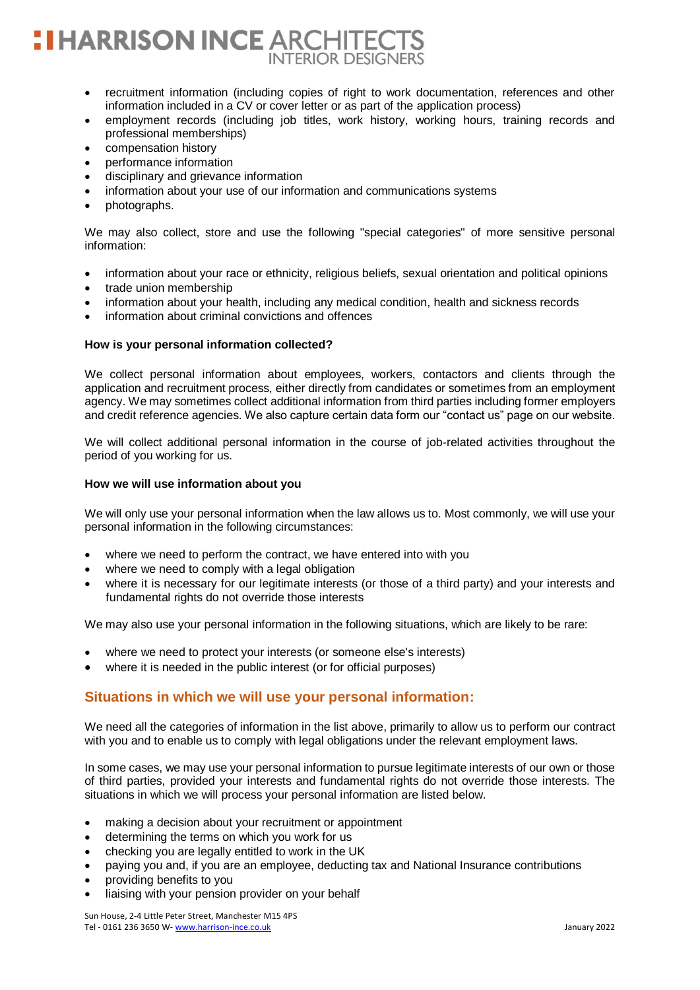# **HARRISON INCE ARCHITEC INTERIOR DESIGNERS**

- recruitment information (including copies of right to work documentation, references and other information included in a CV or cover letter or as part of the application process)
- employment records (including job titles, work history, working hours, training records and professional memberships)
- compensation history
- performance information
- disciplinary and grievance information
- information about your use of our information and communications systems
- photographs.

We may also collect, store and use the following "special categories" of more sensitive personal information:

- information about your race or ethnicity, religious beliefs, sexual orientation and political opinions
- trade union membership
- information about your health, including any medical condition, health and sickness records
- information about criminal convictions and offences

### **How is your personal information collected?**

We collect personal information about employees, workers, contactors and clients through the application and recruitment process, either directly from candidates or sometimes from an employment agency. We may sometimes collect additional information from third parties including former employers and credit reference agencies. We also capture certain data form our "contact us" page on our website.

We will collect additional personal information in the course of job-related activities throughout the period of you working for us.

### **How we will use information about you**

We will only use your personal information when the law allows us to. Most commonly, we will use your personal information in the following circumstances:

- where we need to perform the contract, we have entered into with you
- where we need to comply with a legal obligation
- where it is necessary for our legitimate interests (or those of a third party) and your interests and fundamental rights do not override those interests

We may also use your personal information in the following situations, which are likely to be rare:

- where we need to protect your interests (or someone else's interests)
- where it is needed in the public interest (or for official purposes)

## **Situations in which we will use your personal information:**

We need all the categories of information in the list above, primarily to allow us to perform our contract with you and to enable us to comply with legal obligations under the relevant employment laws.

In some cases, we may use your personal information to pursue legitimate interests of our own or those of third parties, provided your interests and fundamental rights do not override those interests. The situations in which we will process your personal information are listed below.

- making a decision about your recruitment or appointment
- determining the terms on which you work for us
- checking you are legally entitled to work in the UK
- paying you and, if you are an employee, deducting tax and National Insurance contributions
- providing benefits to you
- liaising with your pension provider on your behalf

Sun House, 2-4 Little Peter Street, Manchester M15 4PS Tel - 0161 236 3650 W- [www.harrison-ince.co.uk](http://www.harrison-ince.co.uk/) January 2022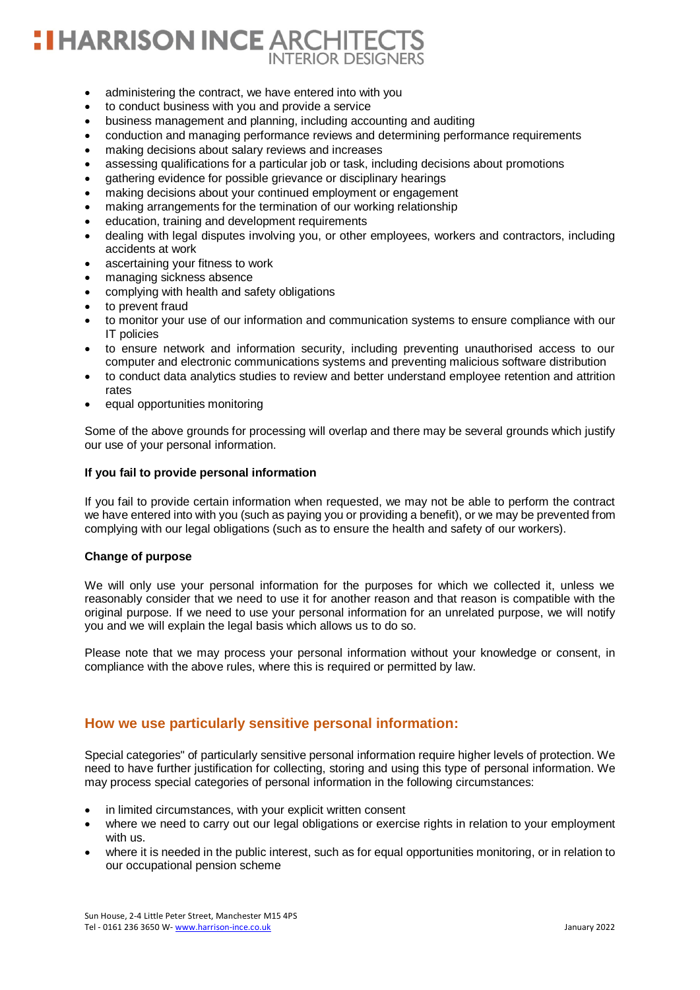# **I HARRISON INCE ARCHITED INTERIOR DESIGNERS**

- administering the contract, we have entered into with you
- to conduct business with you and provide a service
- business management and planning, including accounting and auditing
- conduction and managing performance reviews and determining performance requirements
- making decisions about salary reviews and increases
- assessing qualifications for a particular job or task, including decisions about promotions
- gathering evidence for possible grievance or disciplinary hearings
- making decisions about your continued employment or engagement
- making arrangements for the termination of our working relationship
- education, training and development requirements
- dealing with legal disputes involving you, or other employees, workers and contractors, including accidents at work
- ascertaining your fitness to work
- managing sickness absence
- complying with health and safety obligations
- to prevent fraud
- to monitor your use of our information and communication systems to ensure compliance with our IT policies
- to ensure network and information security, including preventing unauthorised access to our computer and electronic communications systems and preventing malicious software distribution
- to conduct data analytics studies to review and better understand employee retention and attrition rates
- equal opportunities monitoring

Some of the above grounds for processing will overlap and there may be several grounds which justify our use of your personal information.

## **If you fail to provide personal information**

If you fail to provide certain information when requested, we may not be able to perform the contract we have entered into with you (such as paying you or providing a benefit), or we may be prevented from complying with our legal obligations (such as to ensure the health and safety of our workers).

### **Change of purpose**

We will only use your personal information for the purposes for which we collected it, unless we reasonably consider that we need to use it for another reason and that reason is compatible with the original purpose. If we need to use your personal information for an unrelated purpose, we will notify you and we will explain the legal basis which allows us to do so.

Please note that we may process your personal information without your knowledge or consent, in compliance with the above rules, where this is required or permitted by law.

## **How we use particularly sensitive personal information:**

Special categories" of particularly sensitive personal information require higher levels of protection. We need to have further justification for collecting, storing and using this type of personal information. We may process special categories of personal information in the following circumstances:

- in limited circumstances, with your explicit written consent
- where we need to carry out our legal obligations or exercise rights in relation to your employment with us.
- where it is needed in the public interest, such as for equal opportunities monitoring, or in relation to our occupational pension scheme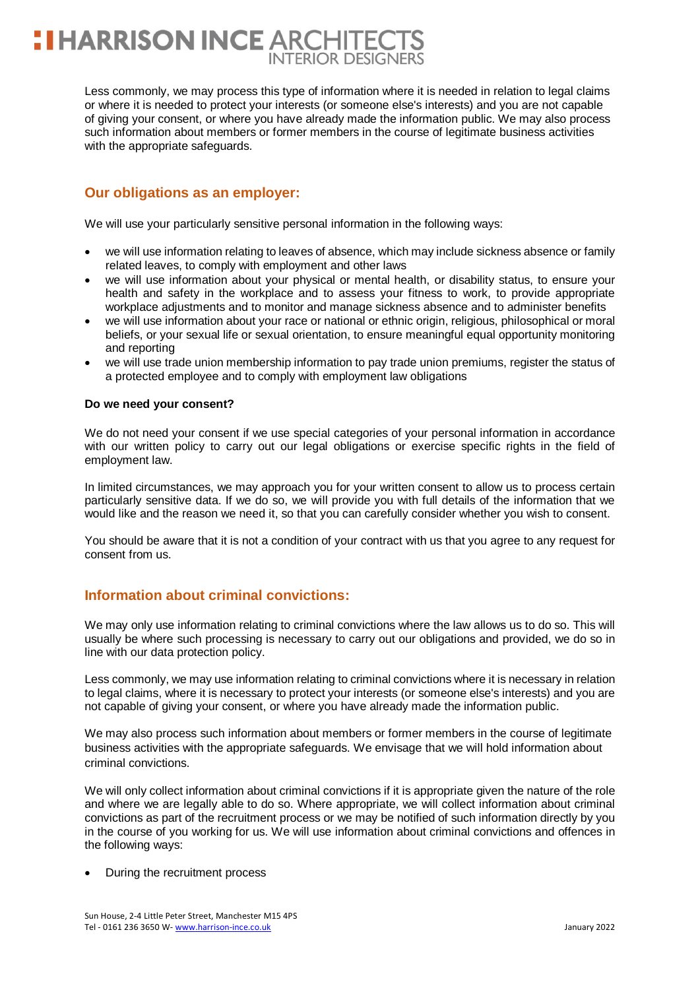# **HARRISON INCE ARCHITEC INTERIOR DESIGNERS**

Less commonly, we may process this type of information where it is needed in relation to legal claims or where it is needed to protect your interests (or someone else's interests) and you are not capable of giving your consent, or where you have already made the information public. We may also process such information about members or former members in the course of legitimate business activities with the appropriate safeguards.

## **Our obligations as an employer:**

We will use your particularly sensitive personal information in the following ways:

- we will use information relating to leaves of absence, which may include sickness absence or family related leaves, to comply with employment and other laws
- we will use information about your physical or mental health, or disability status, to ensure your health and safety in the workplace and to assess your fitness to work, to provide appropriate workplace adjustments and to monitor and manage sickness absence and to administer benefits
- we will use information about your race or national or ethnic origin, religious, philosophical or moral beliefs, or your sexual life or sexual orientation, to ensure meaningful equal opportunity monitoring and reporting
- we will use trade union membership information to pay trade union premiums, register the status of a protected employee and to comply with employment law obligations

## **Do we need your consent?**

We do not need your consent if we use special categories of your personal information in accordance with our written policy to carry out our legal obligations or exercise specific rights in the field of employment law.

In limited circumstances, we may approach you for your written consent to allow us to process certain particularly sensitive data. If we do so, we will provide you with full details of the information that we would like and the reason we need it, so that you can carefully consider whether you wish to consent.

You should be aware that it is not a condition of your contract with us that you agree to any request for consent from us.

## **Information about criminal convictions:**

We may only use information relating to criminal convictions where the law allows us to do so. This will usually be where such processing is necessary to carry out our obligations and provided, we do so in line with our data protection policy.

Less commonly, we may use information relating to criminal convictions where it is necessary in relation to legal claims, where it is necessary to protect your interests (or someone else's interests) and you are not capable of giving your consent, or where you have already made the information public.

We may also process such information about members or former members in the course of legitimate business activities with the appropriate safeguards. We envisage that we will hold information about criminal convictions.

We will only collect information about criminal convictions if it is appropriate given the nature of the role and where we are legally able to do so. Where appropriate, we will collect information about criminal convictions as part of the recruitment process or we may be notified of such information directly by you in the course of you working for us. We will use information about criminal convictions and offences in the following ways:

During the recruitment process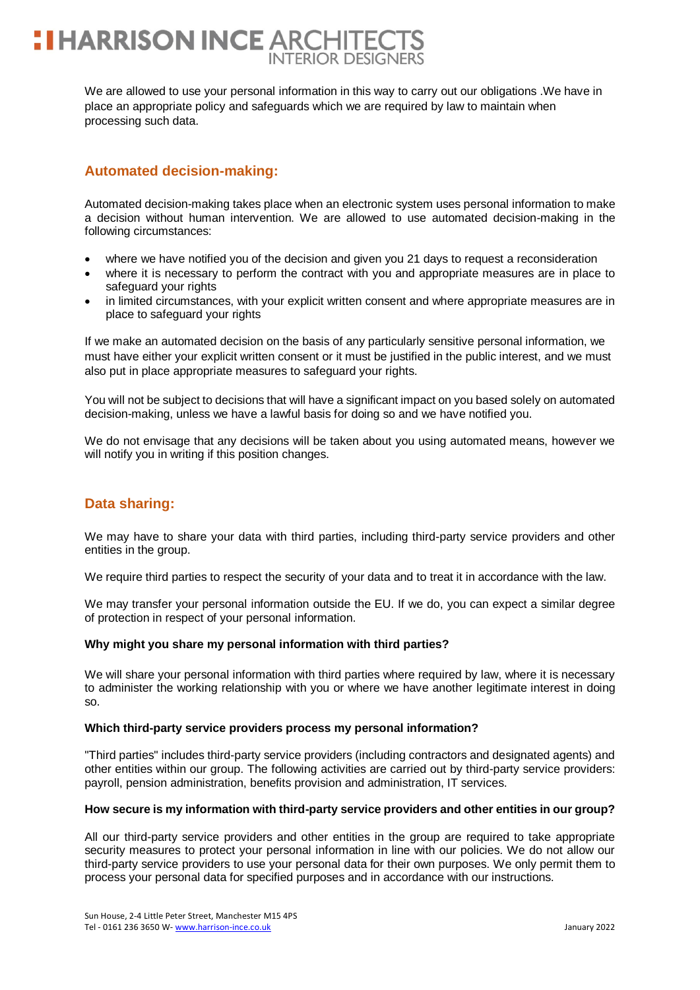# **I HARRISON INCE ARCHITEC INTERIOR DESIGN**

We are allowed to use your personal information in this way to carry out our obligations .We have in place an appropriate policy and safeguards which we are required by law to maintain when processing such data.

## **Automated decision-making:**

Automated decision-making takes place when an electronic system uses personal information to make a decision without human intervention. We are allowed to use automated decision-making in the following circumstances:

- where we have notified you of the decision and given you 21 days to request a reconsideration
- where it is necessary to perform the contract with you and appropriate measures are in place to safeguard your rights
- in limited circumstances, with your explicit written consent and where appropriate measures are in place to safeguard your rights

If we make an automated decision on the basis of any particularly sensitive personal information, we must have either your explicit written consent or it must be justified in the public interest, and we must also put in place appropriate measures to safeguard your rights.

You will not be subject to decisions that will have a significant impact on you based solely on automated decision-making, unless we have a lawful basis for doing so and we have notified you.

We do not envisage that any decisions will be taken about you using automated means, however we will notify you in writing if this position changes.

## **Data sharing:**

We may have to share your data with third parties, including third-party service providers and other entities in the group.

We require third parties to respect the security of your data and to treat it in accordance with the law.

We may transfer your personal information outside the EU. If we do, you can expect a similar degree of protection in respect of your personal information.

## **Why might you share my personal information with third parties?**

We will share your personal information with third parties where required by law, where it is necessary to administer the working relationship with you or where we have another legitimate interest in doing so.

## **Which third-party service providers process my personal information?**

"Third parties" includes third-party service providers (including contractors and designated agents) and other entities within our group. The following activities are carried out by third-party service providers: payroll, pension administration, benefits provision and administration, IT services.

## **How secure is my information with third-party service providers and other entities in our group?**

All our third-party service providers and other entities in the group are required to take appropriate security measures to protect your personal information in line with our policies. We do not allow our third-party service providers to use your personal data for their own purposes. We only permit them to process your personal data for specified purposes and in accordance with our instructions.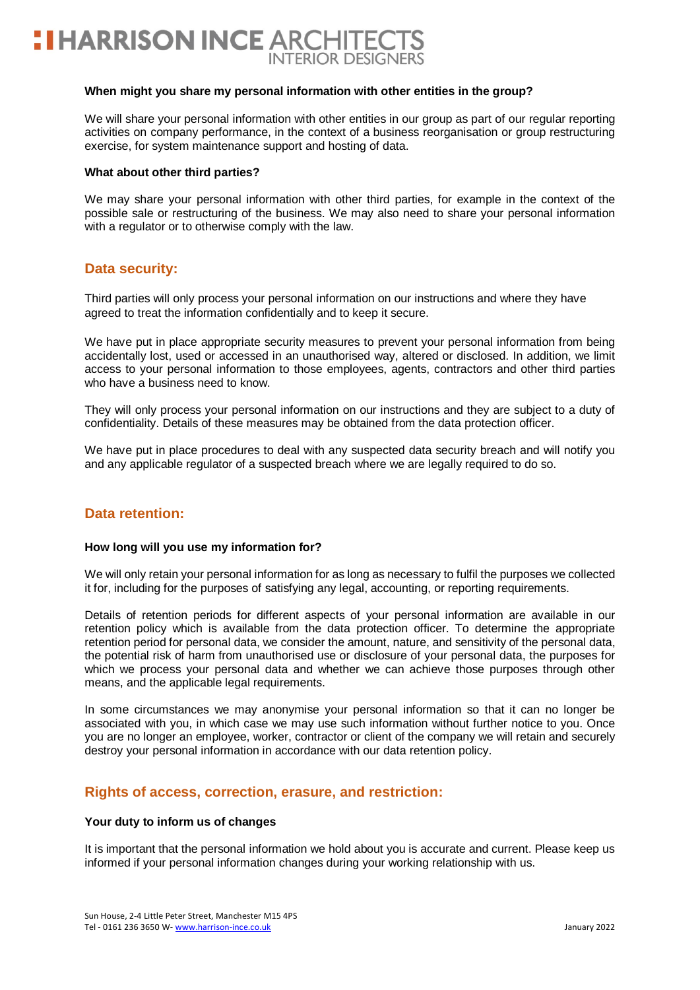

#### **When might you share my personal information with other entities in the group?**

We will share your personal information with other entities in our group as part of our regular reporting activities on company performance, in the context of a business reorganisation or group restructuring exercise, for system maintenance support and hosting of data.

#### **What about other third parties?**

We may share your personal information with other third parties, for example in the context of the possible sale or restructuring of the business. We may also need to share your personal information with a regulator or to otherwise comply with the law.

## **Data security:**

Third parties will only process your personal information on our instructions and where they have agreed to treat the information confidentially and to keep it secure.

We have put in place appropriate security measures to prevent your personal information from being accidentally lost, used or accessed in an unauthorised way, altered or disclosed. In addition, we limit access to your personal information to those employees, agents, contractors and other third parties who have a business need to know.

They will only process your personal information on our instructions and they are subject to a duty of confidentiality. Details of these measures may be obtained from the data protection officer.

We have put in place procedures to deal with any suspected data security breach and will notify you and any applicable regulator of a suspected breach where we are legally required to do so.

## **Data retention:**

### **How long will you use my information for?**

We will only retain your personal information for as long as necessary to fulfil the purposes we collected it for, including for the purposes of satisfying any legal, accounting, or reporting requirements.

Details of retention periods for different aspects of your personal information are available in our retention policy which is available from the data protection officer. To determine the appropriate retention period for personal data, we consider the amount, nature, and sensitivity of the personal data, the potential risk of harm from unauthorised use or disclosure of your personal data, the purposes for which we process your personal data and whether we can achieve those purposes through other means, and the applicable legal requirements.

In some circumstances we may anonymise your personal information so that it can no longer be associated with you, in which case we may use such information without further notice to you. Once you are no longer an employee, worker, contractor or client of the company we will retain and securely destroy your personal information in accordance with our data retention policy.

## **Rights of access, correction, erasure, and restriction:**

### **Your duty to inform us of changes**

It is important that the personal information we hold about you is accurate and current. Please keep us informed if your personal information changes during your working relationship with us.